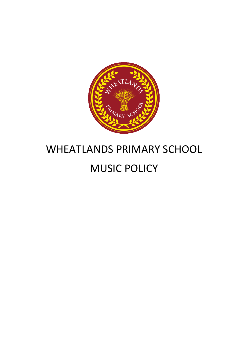

# WHEATLANDS PRIMARY SCHOOL

# MUSIC POLICY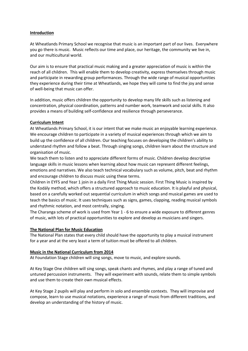#### **Introduction**

At Wheatlands Primary School we recognise that music is an important part of our lives. Everywhere you go there is music. Music reflects our time and place, our heritage, the community we live in, and our multicultural world.

Our aim is to ensure that practical music making and a greater appreciation of music is within the reach of all children. This will enable them to develop creativity, express themselves through music and participate in rewarding group performances. Through the wide range of musical opportunities they experience during their time at Wheatlands, we hope they will come to find the joy and sense of well-being that music can offer.

In addition, music offers children the opportunity to develop many life skills such as listening and concentration, physical coordination, patterns and number work, teamwork and social skills. It also provides a means of building self-confidence and resilience through perseverance.

#### **Curriculum Intent**

At Wheatlands Primary School, it is our intent that we make music an enjoyable learning experience. We encourage children to participate in a variety of musical experiences through which we aim to build up the confidence of all children. Our teaching focuses on developing the children's ability to understand rhythm and follow a beat. Through singing songs, children learn about the structure and organisation of music.

We teach them to listen and to appreciate different forms of music. Children develop descriptive language skills in music lessons when learning about how music can represent different feelings, emotions and narratives. We also teach technical vocabulary such as volume, pitch, beat and rhythm and encourage children to discuss music using these terms.

Children in EYFS and Year 1 join in a daily First Thing Music session. First Thing Music is inspired by the Kodály method, which offers a structured approach to music education. It is playful and physical, based on a carefully worked out sequential curriculum in which songs and musical games are used to teach the basics of music. It uses techniques such as signs, games, clapping, reading musical symbols and rhythmic notation, and most centrally, singing.

The Charanga scheme of work is used from Year 1 - 6 to ensure a wide exposure to different genres of music, with lots of practical opportunities to explore and develop as musicians and singers.

#### **The National Plan for Music Education**

The National Plan states that every child should have the opportunity to play a musical instrument for a year and at the very least a term of tuition must be offered to all children.

#### **Music in the National Curriculum from 2014**

At Foundation Stage children will sing songs, move to music, and explore sounds.

At Key Stage One children will sing songs, speak chants and rhymes, and play a range of tuned and untuned percussion instruments. They will experiment with sounds, relate them to simple symbols and use them to create their own musical effects.

At Key Stage 2 pupils will play and perform in solo and ensemble contexts. They will improvise and compose, learn to use musical notations, experience a range of music from different traditions, and develop an understanding of the history of music.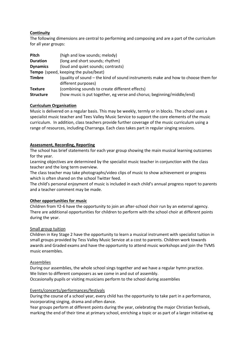## **Continuity**

The following dimensions are central to performing and composing and are a part of the curriculum for all year groups:

| Pitch            | (high and low sounds; melody)                                                     |
|------------------|-----------------------------------------------------------------------------------|
| <b>Duration</b>  | (long and short sounds; rhythm)                                                   |
| <b>Dynamics</b>  | (loud and quiet sounds; contrasts)                                                |
|                  | Tempo (speed, keeping the pulse/beat)                                             |
| <b>Timbre</b>    | (quality of sound – the kind of sound instruments make and how to choose them for |
|                  | different purposes)                                                               |
| <b>Texture</b>   | (combining sounds to create different effects)                                    |
| <b>Structure</b> | (how music is put together, eg verse and chorus; beginning/middle/end)            |

#### **Curriculum Organisation**

Music is delivered on a regular basis. This may be weekly, termly or in blocks. The school uses a specialist music teacher and Tees Valley Music Service to support the core elements of the music curriculum. In addition, class teachers provide further coverage of the music curriculum using a range of resources, including Charranga. Each class takes part in regular singing sessions.

## **Assessment, Recording, Reporting**

The school has brief statements for each year group showing the main musical learning outcomes for the year.

Learning objectives are determined by the specialist music teacher in conjunction with the class teacher and the long term overview.

The class teacher may take photographs/video clips of music to show achievement or progress which is often shared on the school Twitter feed.

The child's personal enjoyment of music is included in each child's annual progress report to parents and a teacher comment may be made.

## **Other opportunities for music**

Children from Y2-6 have the opportunity to join an after-school choir run by an external agency. There are additional opportunities for children to perform with the school choir at different points during the year.

#### Small group tuition

Children in Key Stage 2 have the opportunity to learn a musical instrument with specialist tuition in small groups provided by Tess Valley Music Service at a cost to parents. Children work towards awards and Graded exams and have the opportunity to attend music workshops and join the TVMS music ensembles.

#### Assemblies

During our assemblies, the whole school sings together and we have a regular hymn practice. We listen to different composers as we come in and out of assembly. Occasionally pupils or visiting musicians perform to the school during assemblies

#### Events/concerts/performances/festivals

During the course of a school year, every child has the opportunity to take part in a performance, incorporating singing, drama and often dance.

Year groups perform at different points during the year, celebrating the major Christian festivals, marking the end of their time at primary school, enriching a topic or as part of a larger initiative eg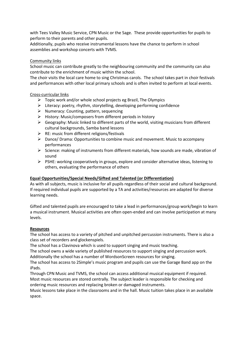with Tees Valley Music Service, CPN Music or the Sage. These provide opportunities for pupils to perform to their parents and other pupils.

Additionally, pupils who receive instrumental lessons have the chance to perform in school assemblies and workshop concerts with TVMS.

## Community links

School music can contribute greatly to the neighbouring community and the community can also contribute to the enrichment of music within the school.

The choir visits the local care home to sing Christmas carols. The school takes part in choir festivals and performances with other local primary schools and is often invited to perform at local events.

## Cross-curricular links

- $\triangleright$  Topic work and/or whole school projects eg Brazil, The Olympics
- $\triangleright$  Literacy: poetry, rhythm, storytelling, developing performing confidence
- $\triangleright$  Numeracy: Counting, pattern, sequencing
- $\triangleright$  History: Music/composers from different periods in history
- $\triangleright$  Geography: Music linked to different parts of the world, visiting musicians from different cultural backgrounds, Samba band lessons
- $\triangleright$  RE: music from different religions/festivals
- $\triangleright$  Dance/ Drama: Opportunities to combine music and movement. Music to accompany performances
- $\triangleright$  Science: making of instruments from different materials, how sounds are made, vibration of sound
- $\triangleright$  PSHE: working cooperatively in groups, explore and consider alternative ideas, listening to others, evaluating the performance of others

## **Equal Opportunities/Special Needs/Gifted and Talented (or Differentiation)**

As with all subjects, music is inclusive for all pupils regardless of their social and cultural background. If required individual pupils are supported by a TA and activities/resources are adapted for diverse learning needs.

Gifted and talented pupils are encouraged to take a lead in performances/group work/begin to learn a musical instrument. Musical activities are often open-ended and can involve participation at many levels.

#### **Resources**

The school has access to a variety of pitched and unpitched percussion instruments. There is also a class set of recorders and glockenspiels.

The school has a Clavinova which is used to support singing and music teaching.

The school owns a wide variety of published resources to support singing and percussion work. Additionally the school has a number of WordsonScreen resources for singing.

The school has access to 2Simple's music program and pupils can use the Garage Band app on the iPads.

Through CPN Music and TVMS, the school can access additional musical equipment if required. Most music resources are stored centrally. The subject leader is responsible for checking and ordering music resources and replacing broken or damaged instruments.

Music lessons take place in the classrooms and in the hall. Music tuition takes place in an available space.